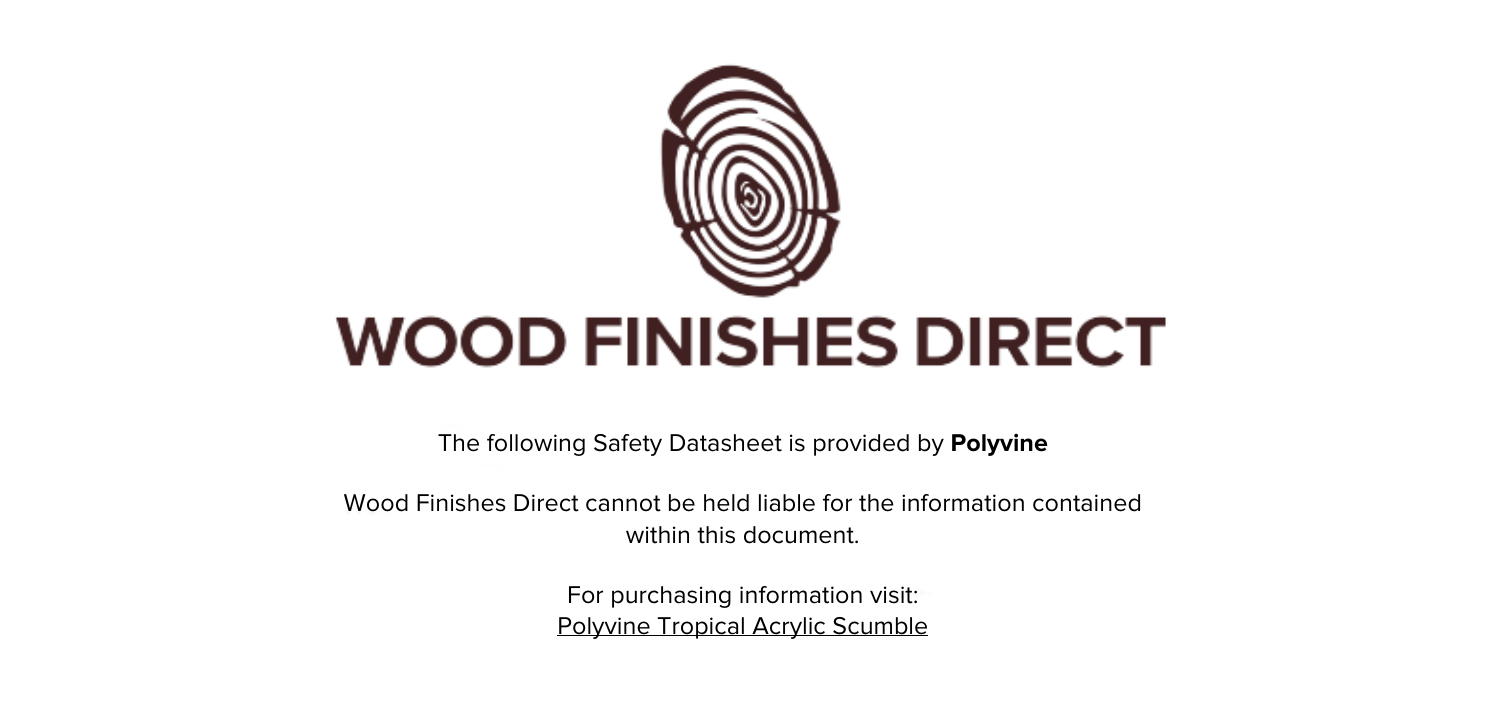

The following Safety Datasheet is provided by **Polyvine**

Wood Finishes Direct cannot be held liable for the information contained within this document.

> For purchasing information visit: [Polyvine Tropical Acrylic Scumble](https://www.wood-finishes-direct.com/product/polyvine-tropical-acrylic-scumble)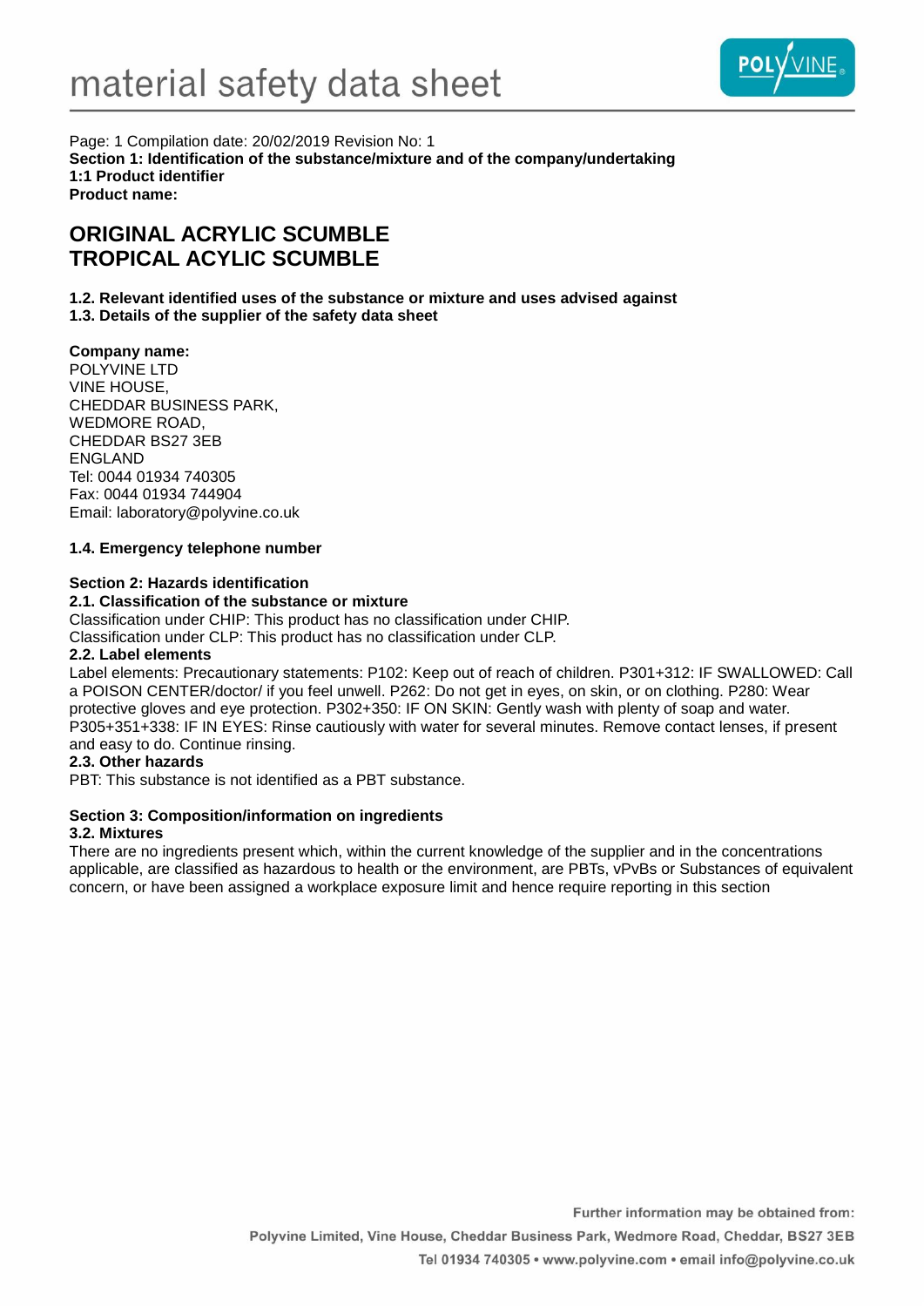

Page: 1 Compilation date: 20/02/2019 Revision No: 1 **Section 1: Identification of the substance/mixture and of the company/undertaking 1:1 Product identifier Product name:**

# **ORIGINAL ACRYLIC SCUMBLE TROPICAL ACYLIC SCUMBLE**

**1.2. Relevant identified uses of the substance or mixture and uses advised against 1.3. Details of the supplier of the safety data sheet**

## **Company name:**

POLYVINE LTD VINE HOUSE, CHEDDAR BUSINESS PARK, WEDMORE ROAD, CHEDDAR BS27 3EB ENGLAND Tel: 0044 01934 740305 Fax: 0044 01934 744904 Email: laboratory@polyvine.co.uk

## **1.4. Emergency telephone number**

### **Section 2: Hazards identification**

### **2.1. Classification of the substance or mixture**

Classification under CHIP: This product has no classification under CHIP.

Classification under CLP: This product has no classification under CLP.

### **2.2. Label elements**

Label elements: Precautionary statements: P102: Keep out of reach of children. P301+312: IF SWALLOWED: Call a POISON CENTER/doctor/ if you feel unwell. P262: Do not get in eyes, on skin, or on clothing. P280: Wear protective gloves and eye protection. P302+350: IF ON SKIN: Gently wash with plenty of soap and water. P305+351+338: IF IN EYES: Rinse cautiously with water for several minutes. Remove contact lenses, if present and easy to do. Continue rinsing.

## **2.3. Other hazards**

PBT: This substance is not identified as a PBT substance.

# **Section 3: Composition/information on ingredients**

### **3.2. Mixtures**

There are no ingredients present which, within the current knowledge of the supplier and in the concentrations applicable, are classified as hazardous to health or the environment, are PBTs, vPvBs or Substances of equivalent concern, or have been assigned a workplace exposure limit and hence require reporting in this section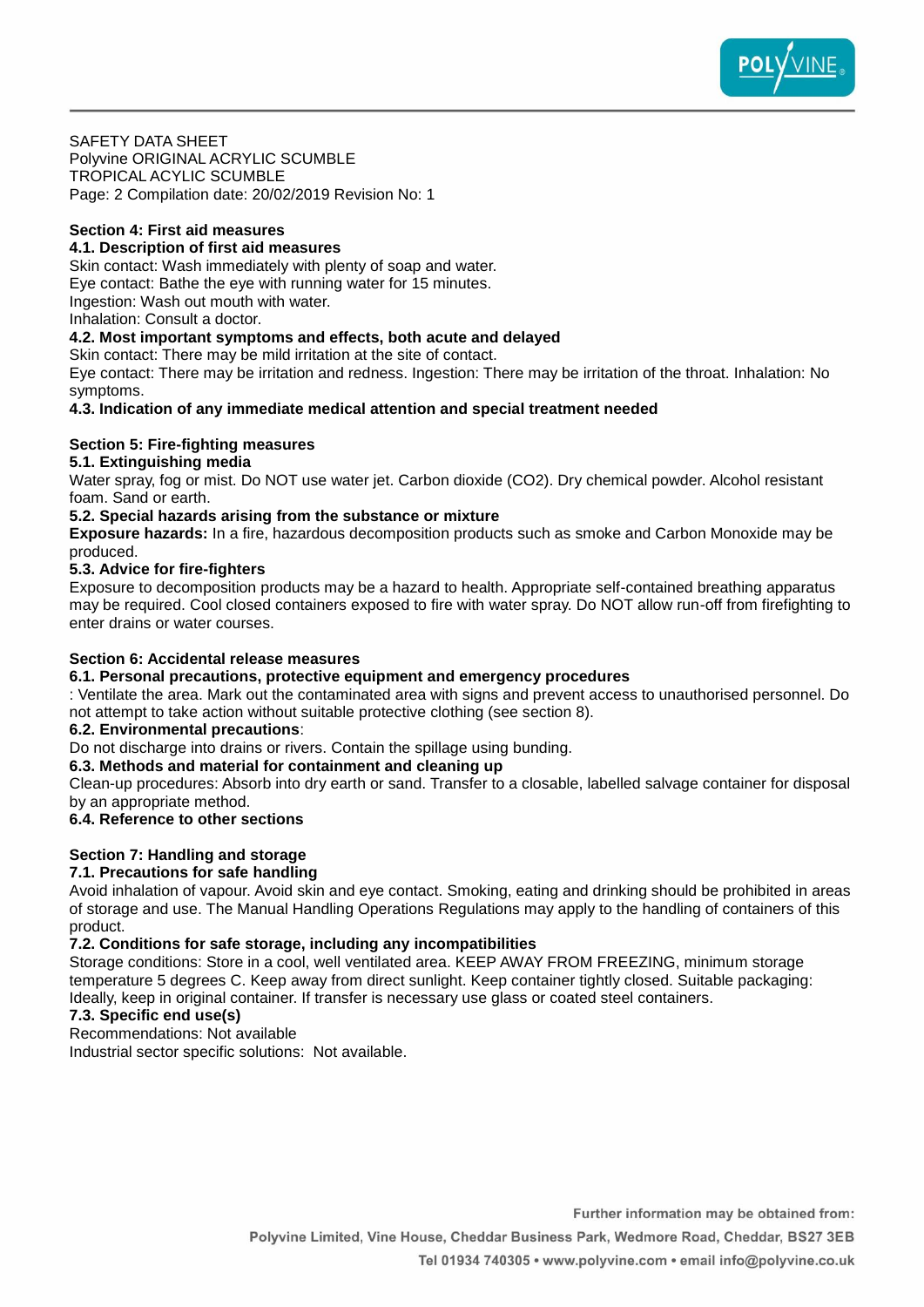

SAFETY DATA SHEET Polyvine ORIGINAL ACRYLIC SCUMBLE TROPICAL ACYLIC SCUMBLE Page: 2 Compilation date: 20/02/2019 Revision No: 1

## **Section 4: First aid measures**

## **4.1. Description of first aid measures**

Skin contact: Wash immediately with plenty of soap and water. Eye contact: Bathe the eye with running water for 15 minutes. Ingestion: Wash out mouth with water. Inhalation: Consult a doctor.

### **4.2. Most important symptoms and effects, both acute and delayed**

Skin contact: There may be mild irritation at the site of contact.

Eye contact: There may be irritation and redness. Ingestion: There may be irritation of the throat. Inhalation: No symptoms.

**4.3. Indication of any immediate medical attention and special treatment needed**

### **Section 5: Fire-fighting measures**

### **5.1. Extinguishing media**

Water spray, fog or mist. Do NOT use water jet. Carbon dioxide (CO2). Dry chemical powder. Alcohol resistant foam. Sand or earth.

### **5.2. Special hazards arising from the substance or mixture**

**Exposure hazards:** In a fire, hazardous decomposition products such as smoke and Carbon Monoxide may be produced.

#### **5.3. Advice for fire-fighters**

Exposure to decomposition products may be a hazard to health. Appropriate self-contained breathing apparatus may be required. Cool closed containers exposed to fire with water spray. Do NOT allow run-off from firefighting to enter drains or water courses.

## **Section 6: Accidental release measures**

#### **6.1. Personal precautions, protective equipment and emergency procedures**

: Ventilate the area. Mark out the contaminated area with signs and prevent access to unauthorised personnel. Do not attempt to take action without suitable protective clothing (see section 8).

#### **6.2. Environmental precautions**:

Do not discharge into drains or rivers. Contain the spillage using bunding.

## **6.3. Methods and material for containment and cleaning up**

Clean-up procedures: Absorb into dry earth or sand. Transfer to a closable, labelled salvage container for disposal by an appropriate method.

## **6.4. Reference to other sections**

## **Section 7: Handling and storage**

## **7.1. Precautions for safe handling**

Avoid inhalation of vapour. Avoid skin and eye contact. Smoking, eating and drinking should be prohibited in areas of storage and use. The Manual Handling Operations Regulations may apply to the handling of containers of this product.

#### **7.2. Conditions for safe storage, including any incompatibilities**

Storage conditions: Store in a cool, well ventilated area. KEEP AWAY FROM FREEZING, minimum storage temperature 5 degrees C. Keep away from direct sunlight. Keep container tightly closed. Suitable packaging: Ideally, keep in original container. If transfer is necessary use glass or coated steel containers.

## **7.3. Specific end use(s)**

Recommendations: Not available

Industrial sector specific solutions: Not available.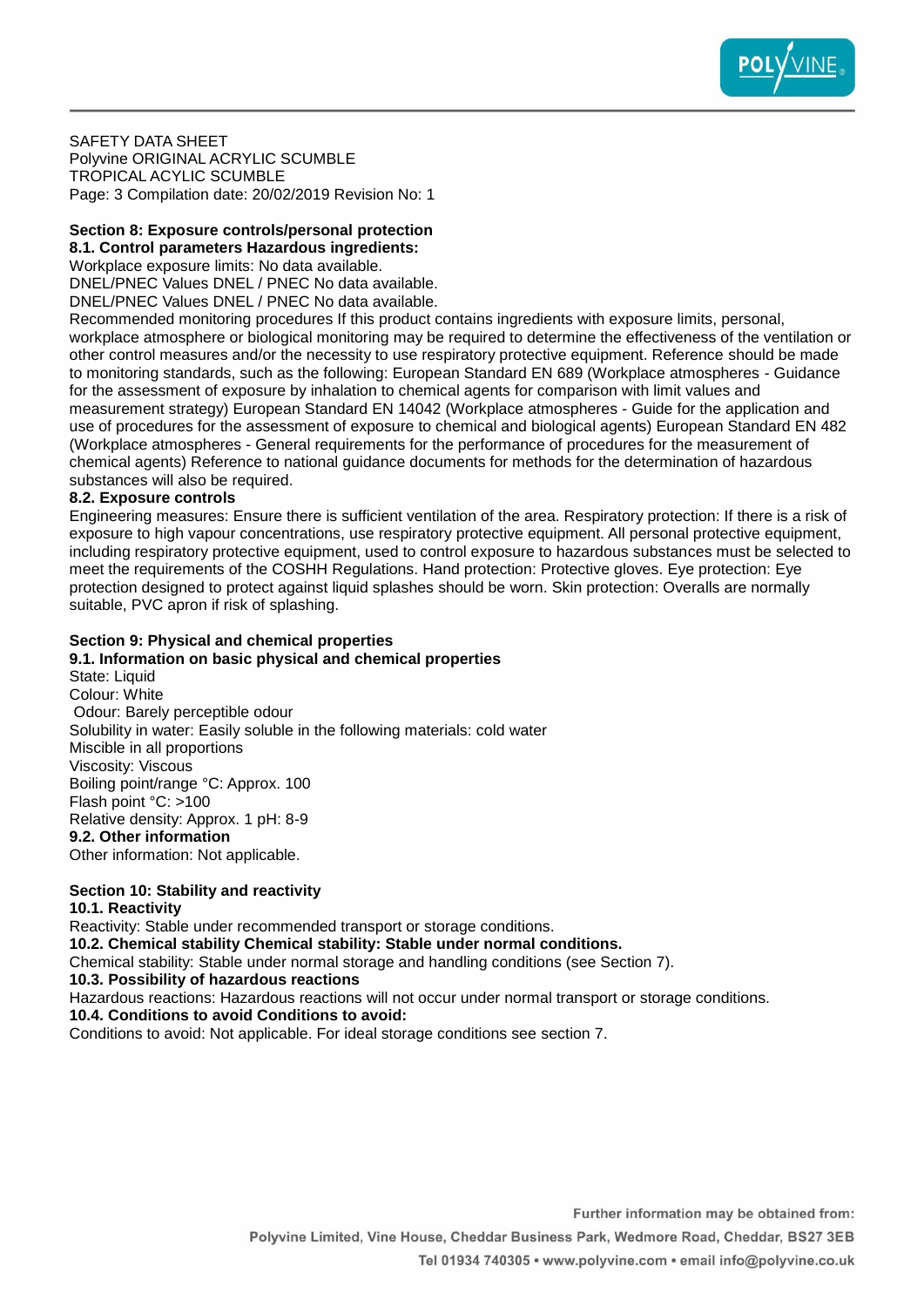

SAFETY DATA SHEET Polyvine ORIGINAL ACRYLIC SCUMBLE TROPICAL ACYLIC SCUMBLE Page: 3 Compilation date: 20/02/2019 Revision No: 1

#### **Section 8: Exposure controls/personal protection 8.1. Control parameters Hazardous ingredients:**

Workplace exposure limits: No data available.

DNEL/PNEC Values DNEL / PNEC No data available.

DNEL/PNEC Values DNEL / PNEC No data available.

Recommended monitoring procedures If this product contains ingredients with exposure limits, personal, workplace atmosphere or biological monitoring may be required to determine the effectiveness of the ventilation or other control measures and/or the necessity to use respiratory protective equipment. Reference should be made to monitoring standards, such as the following: European Standard EN 689 (Workplace atmospheres - Guidance for the assessment of exposure by inhalation to chemical agents for comparison with limit values and measurement strategy) European Standard EN 14042 (Workplace atmospheres - Guide for the application and use of procedures for the assessment of exposure to chemical and biological agents) European Standard EN 482 (Workplace atmospheres - General requirements for the performance of procedures for the measurement of chemical agents) Reference to national guidance documents for methods for the determination of hazardous substances will also be required.

## **8.2. Exposure controls**

Engineering measures: Ensure there is sufficient ventilation of the area. Respiratory protection: If there is a risk of exposure to high vapour concentrations, use respiratory protective equipment. All personal protective equipment, including respiratory protective equipment, used to control exposure to hazardous substances must be selected to meet the requirements of the COSHH Regulations. Hand protection: Protective gloves. Eye protection: Eye protection designed to protect against liquid splashes should be worn. Skin protection: Overalls are normally suitable, PVC apron if risk of splashing.

### **Section 9: Physical and chemical properties**

#### **9.1. Information on basic physical and chemical properties**

State: Liquid Colour: White Odour: Barely perceptible odour Solubility in water: Easily soluble in the following materials: cold water Miscible in all proportions Viscosity: Viscous Boiling point/range °C: Approx. 100 Flash point °C: >100 Relative density: Approx. 1 pH: 8-9 **9.2. Other information** Other information: Not applicable.

# **Section 10: Stability and reactivity**

# **10.1. Reactivity**

Reactivity: Stable under recommended transport or storage conditions.

**10.2. Chemical stability Chemical stability: Stable under normal conditions.**

Chemical stability: Stable under normal storage and handling conditions (see Section 7).

**10.3. Possibility of hazardous reactions**

Hazardous reactions: Hazardous reactions will not occur under normal transport or storage conditions.

# **10.4. Conditions to avoid Conditions to avoid:**

Conditions to avoid: Not applicable. For ideal storage conditions see section 7.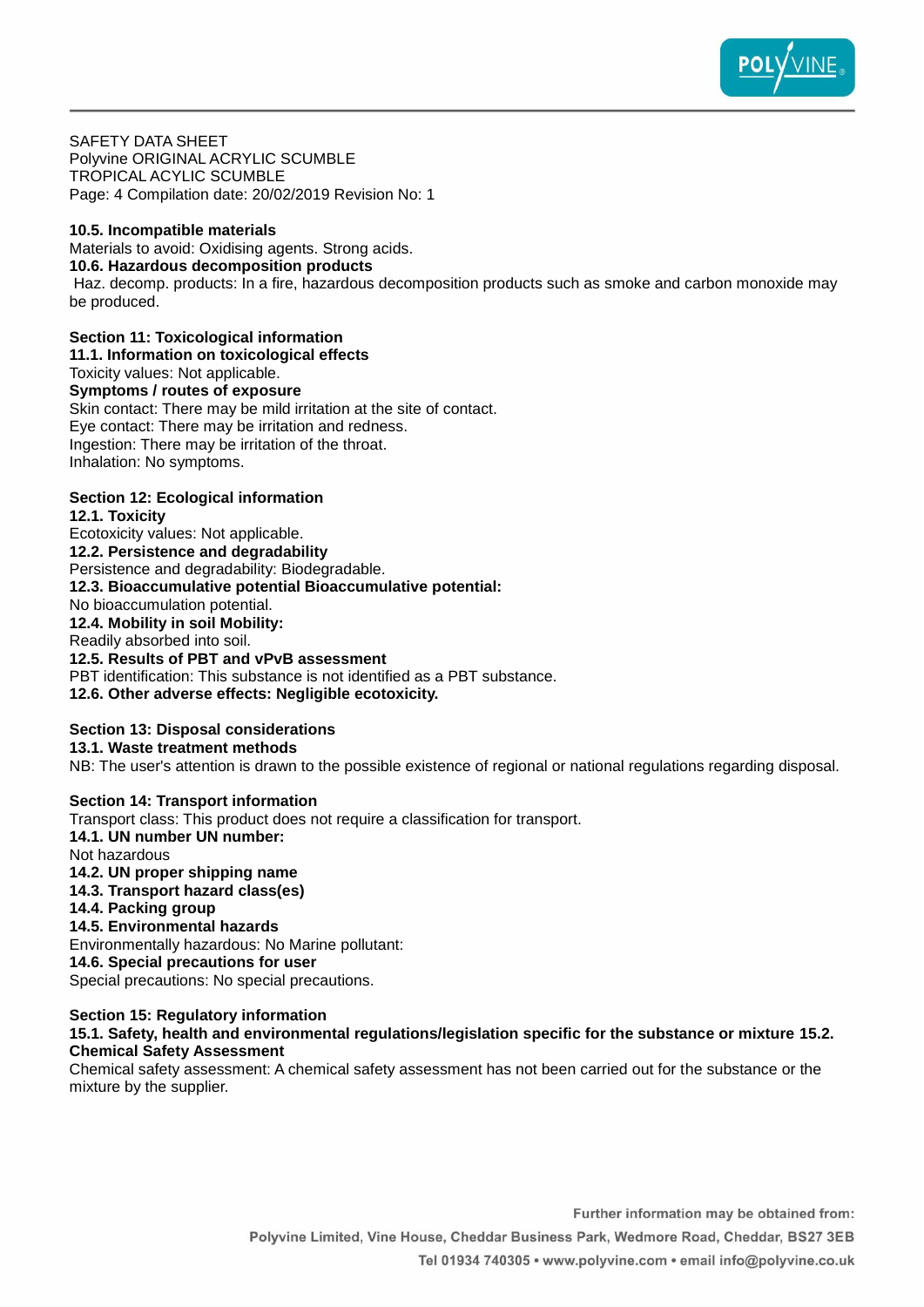

SAFETY DATA SHEET Polyvine ORIGINAL ACRYLIC SCUMBLE TROPICAL ACYLIC SCUMBLE Page: 4 Compilation date: 20/02/2019 Revision No: 1

## **10.5. Incompatible materials**

Materials to avoid: Oxidising agents. Strong acids.

## **10.6. Hazardous decomposition products**

Haz. decomp. products: In a fire, hazardous decomposition products such as smoke and carbon monoxide may be produced.

## **Section 11: Toxicological information**

**11.1. Information on toxicological effects**

Toxicity values: Not applicable.

## **Symptoms / routes of exposure**

Skin contact: There may be mild irritation at the site of contact. Eye contact: There may be irritation and redness. Ingestion: There may be irritation of the throat. Inhalation: No symptoms.

## **Section 12: Ecological information**

**12.1. Toxicity** Ecotoxicity values: Not applicable. **12.2. Persistence and degradability** Persistence and degradability: Biodegradable. **12.3. Bioaccumulative potential Bioaccumulative potential:** No bioaccumulation potential. **12.4. Mobility in soil Mobility:** Readily absorbed into soil. **12.5. Results of PBT and vPvB assessment** PBT identification: This substance is not identified as a PBT substance. **12.6. Other adverse effects: Negligible ecotoxicity.**

#### **Section 13: Disposal considerations 13.1. Waste treatment methods**

NB: The user's attention is drawn to the possible existence of regional or national regulations regarding disposal.

## **Section 14: Transport information**

Transport class: This product does not require a classification for transport.

**14.1. UN number UN number:** Not hazardous **14.2. UN proper shipping name**

- **14.3. Transport hazard class(es)**
- **14.4. Packing group**

## **14.5. Environmental hazards**

Environmentally hazardous: No Marine pollutant:

**14.6. Special precautions for user**

Special precautions: No special precautions.

# **Section 15: Regulatory information**

### **15.1. Safety, health and environmental regulations/legislation specific for the substance or mixture 15.2. Chemical Safety Assessment**

Chemical safety assessment: A chemical safety assessment has not been carried out for the substance or the mixture by the supplier.